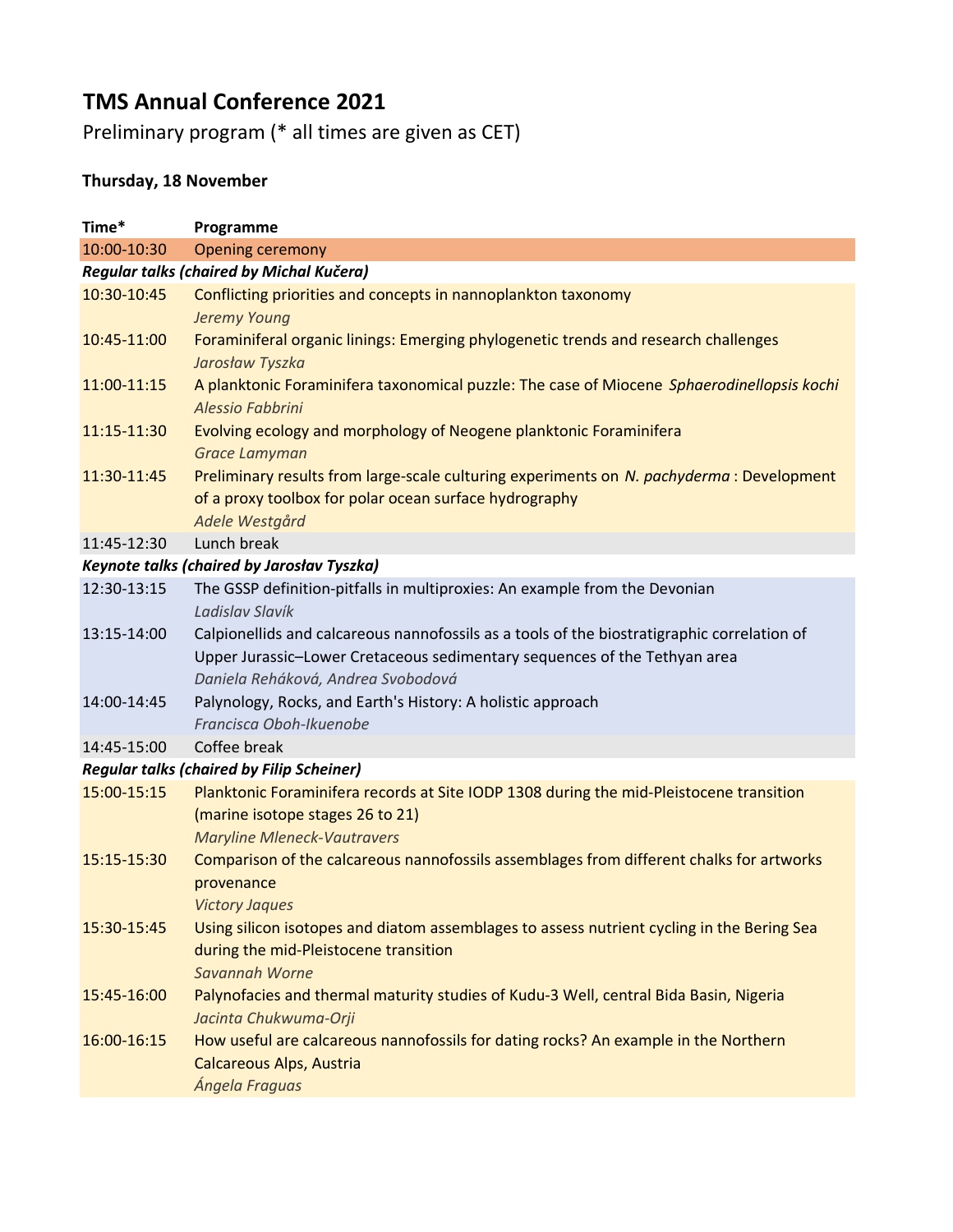## TMS Annual Conference 2021

Preliminary program (\* all times are given as CET)

## Thursday, 18 November

| Time*                                            | Programme                                                                                                                                                                                                      |  |
|--------------------------------------------------|----------------------------------------------------------------------------------------------------------------------------------------------------------------------------------------------------------------|--|
| 10:00-10:30                                      | <b>Opening ceremony</b>                                                                                                                                                                                        |  |
| Regular talks (chaired by Michal Kučera)         |                                                                                                                                                                                                                |  |
| 10:30-10:45                                      | Conflicting priorities and concepts in nannoplankton taxonomy<br>Jeremy Young                                                                                                                                  |  |
| 10:45-11:00                                      | Foraminiferal organic linings: Emerging phylogenetic trends and research challenges<br>Jarosław Tyszka                                                                                                         |  |
| 11:00-11:15                                      | A planktonic Foraminifera taxonomical puzzle: The case of Miocene Sphaerodinellopsis kochi<br>Alessio Fabbrini                                                                                                 |  |
| 11:15-11:30                                      | Evolving ecology and morphology of Neogene planktonic Foraminifera<br><b>Grace Lamyman</b>                                                                                                                     |  |
| 11:30-11:45                                      | Preliminary results from large-scale culturing experiments on N. pachyderma: Development<br>of a proxy toolbox for polar ocean surface hydrography<br>Adele Westgård                                           |  |
| 11:45-12:30                                      | Lunch break                                                                                                                                                                                                    |  |
| Keynote talks (chaired by Jarosłav Tyszka)       |                                                                                                                                                                                                                |  |
| 12:30-13:15                                      | The GSSP definition-pitfalls in multiproxies: An example from the Devonian<br>Ladislav Slavík                                                                                                                  |  |
| 13:15-14:00                                      | Calpionellids and calcareous nannofossils as a tools of the biostratigraphic correlation of<br>Upper Jurassic-Lower Cretaceous sedimentary sequences of the Tethyan area<br>Daniela Reháková, Andrea Svobodová |  |
| 14:00-14:45                                      | Palynology, Rocks, and Earth's History: A holistic approach<br>Francisca Oboh-Ikuenobe                                                                                                                         |  |
| 14:45-15:00                                      | Coffee break                                                                                                                                                                                                   |  |
| <b>Regular talks (chaired by Filip Scheiner)</b> |                                                                                                                                                                                                                |  |
| 15:00-15:15                                      | Planktonic Foraminifera records at Site IODP 1308 during the mid-Pleistocene transition<br>(marine isotope stages 26 to 21)<br><b>Maryline Mleneck-Vautravers</b>                                              |  |
| 15:15-15:30                                      | Comparison of the calcareous nannofossils assemblages from different chalks for artworks<br>provenance<br><b>Victory Jaques</b>                                                                                |  |
| 15:30-15:45                                      | Using silicon isotopes and diatom assemblages to assess nutrient cycling in the Bering Sea<br>during the mid-Pleistocene transition<br>Savannah Worne                                                          |  |
| 15:45-16:00                                      | Palynofacies and thermal maturity studies of Kudu-3 Well, central Bida Basin, Nigeria<br>Jacinta Chukwuma-Orji                                                                                                 |  |
| 16:00-16:15                                      | How useful are calcareous nannofossils for dating rocks? An example in the Northern<br>Calcareous Alps, Austria<br>Ángela Fraguas                                                                              |  |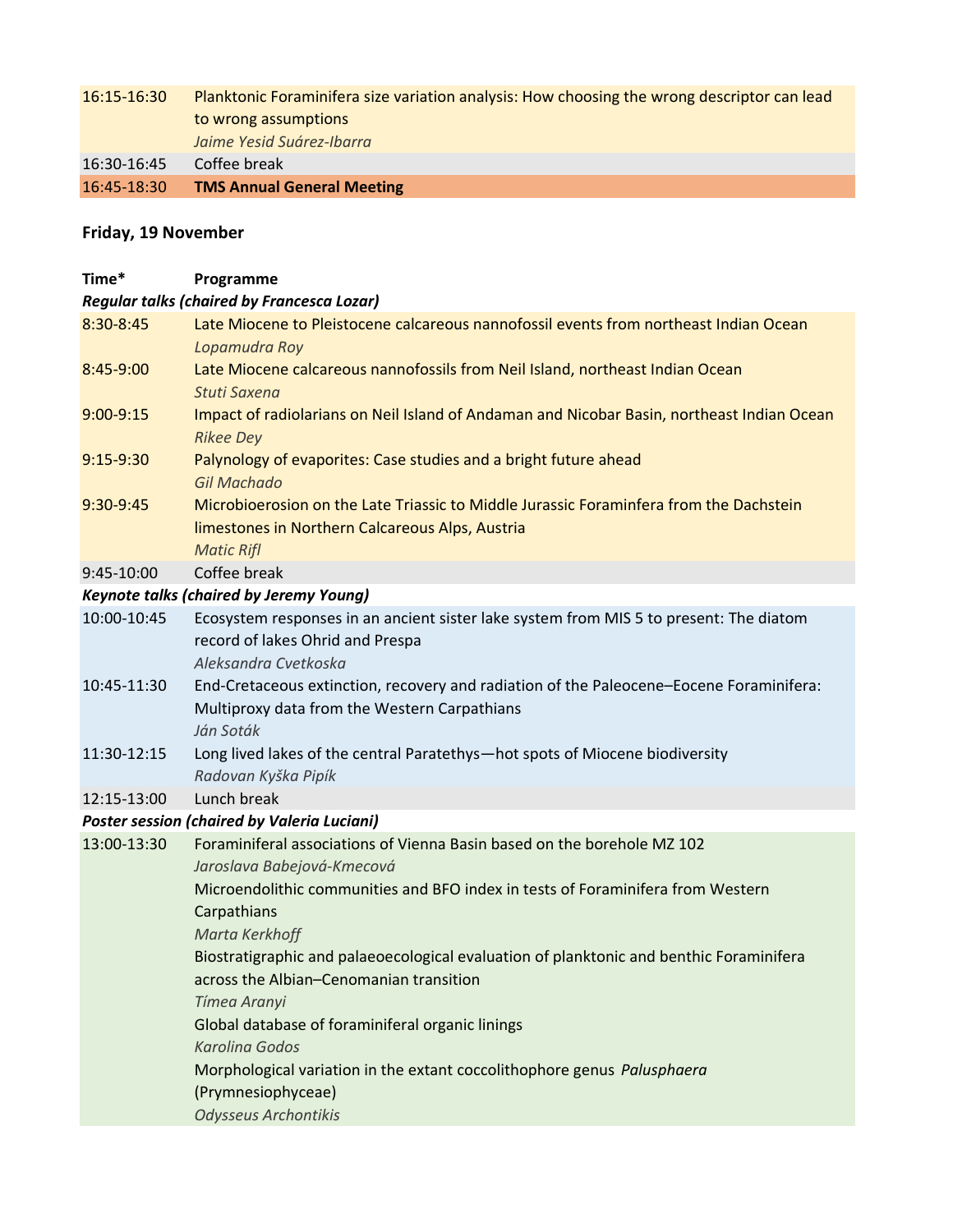## 16:15-16:30 Planktonic Foraminifera size variation analysis: How choosing the wrong descriptor can lead to wrong assumptions Jaime Yesid Suárez-Ibarra 16:30-16:45 Coffee break

16:45-18:30 TMS Annual General Meeting

## Friday, 19 November

| Time*                                             | Programme                                                                                                                                                      |  |
|---------------------------------------------------|----------------------------------------------------------------------------------------------------------------------------------------------------------------|--|
| <b>Regular talks (chaired by Francesca Lozar)</b> |                                                                                                                                                                |  |
| 8:30-8:45                                         | Late Miocene to Pleistocene calcareous nannofossil events from northeast Indian Ocean<br>Lopamudra Roy                                                         |  |
| 8:45-9:00                                         | Late Miocene calcareous nannofossils from Neil Island, northeast Indian Ocean<br><b>Stuti Saxena</b>                                                           |  |
| $9:00 - 9:15$                                     | Impact of radiolarians on Neil Island of Andaman and Nicobar Basin, northeast Indian Ocean<br><b>Rikee Dey</b>                                                 |  |
| $9:15-9:30$                                       | Palynology of evaporites: Case studies and a bright future ahead<br><b>Gil Machado</b>                                                                         |  |
| 9:30-9:45                                         | Microbioerosion on the Late Triassic to Middle Jurassic Foraminfera from the Dachstein<br>limestones in Northern Calcareous Alps, Austria<br><b>Matic Rifl</b> |  |
| 9:45-10:00                                        | Coffee break                                                                                                                                                   |  |
| <b>Keynote talks (chaired by Jeremy Young)</b>    |                                                                                                                                                                |  |
| 10:00-10:45                                       | Ecosystem responses in an ancient sister lake system from MIS 5 to present: The diatom<br>record of lakes Ohrid and Prespa<br>Aleksandra Cvetkoska             |  |
| 10:45-11:30                                       | End-Cretaceous extinction, recovery and radiation of the Paleocene-Eocene Foraminifera:<br>Multiproxy data from the Western Carpathians<br>Ján Soták           |  |
| 11:30-12:15                                       | Long lived lakes of the central Paratethys-hot spots of Miocene biodiversity<br>Radovan Kyška Pipík                                                            |  |
| 12:15-13:00                                       | Lunch break                                                                                                                                                    |  |
| Poster session (chaired by Valeria Luciani)       |                                                                                                                                                                |  |
| 13:00-13:30                                       | Foraminiferal associations of Vienna Basin based on the borehole MZ 102<br>Jaroslava Babejová-Kmecová                                                          |  |
|                                                   | Microendolithic communities and BFO index in tests of Foraminifera from Western<br>Carpathians                                                                 |  |
|                                                   | Marta Kerkhoff<br>Biostratigraphic and palaeoecological evaluation of planktonic and benthic Foraminifera                                                      |  |
|                                                   | across the Albian-Cenomanian transition<br>Tímea Aranyi                                                                                                        |  |
|                                                   | Global database of foraminiferal organic linings<br><b>Karolina Godos</b>                                                                                      |  |
|                                                   | Morphological variation in the extant coccolithophore genus Palusphaera<br>(Prymnesiophyceae)                                                                  |  |
|                                                   | Odysseus Archontikis                                                                                                                                           |  |